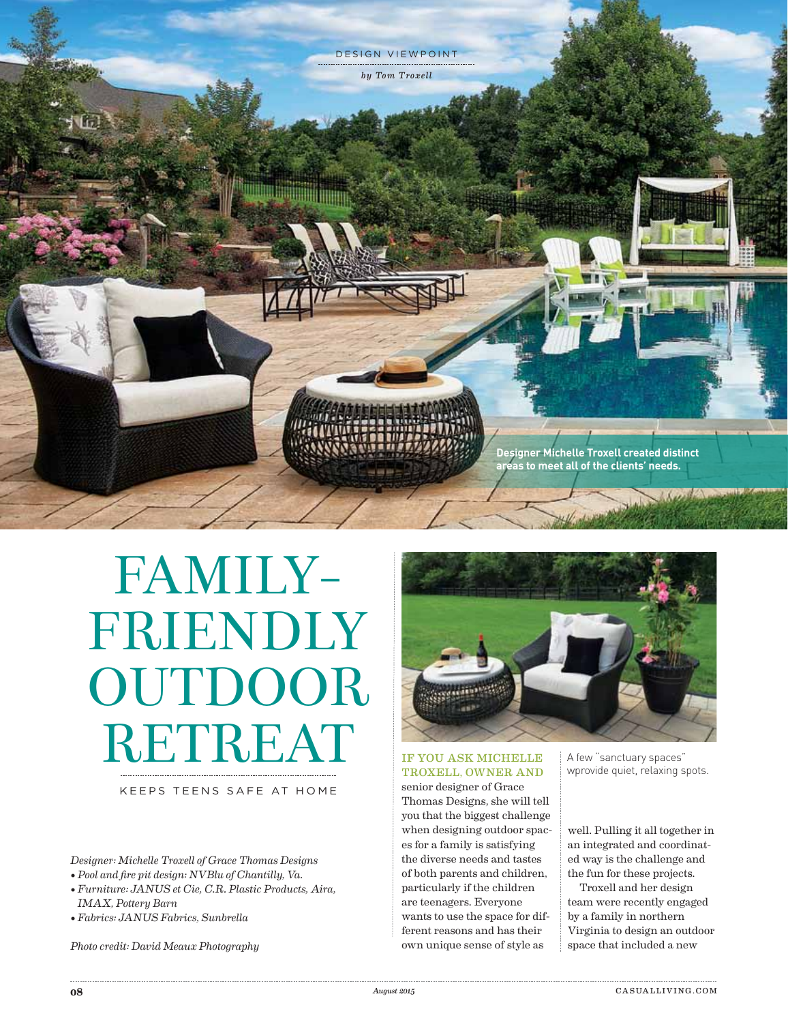

## Familyfriendly **OUTDOOR** RETREAT

## Keeps teens safe at home

*Designer: Michelle Troxell of Grace Thomas Designs*

- *Pool and fire pit design: NVBlu of Chantilly, Va.*
- *Furniture: JANUS et Cie, C.R. Plastic Products, Aira, IMAX, Pottery Barn*
- *Fabrics: JANUS Fabrics, Sunbrella*

*Photo credit: David Meaux Photography*



## If you ask Michelle Troxell, owner and

senior designer of Grace Thomas Designs, she will tell you that the biggest challenge when designing outdoor spaces for a family is satisfying the diverse needs and tastes of both parents and children, particularly if the children are teenagers. Everyone wants to use the space for different reasons and has their own unique sense of style as

A few "sanctuary spaces" wprovide quiet, relaxing spots.

well. Pulling it all together in an integrated and coordinated way is the challenge and the fun for these projects.

Troxell and her design team were recently engaged by a family in northern Virginia to design an outdoor space that included a new